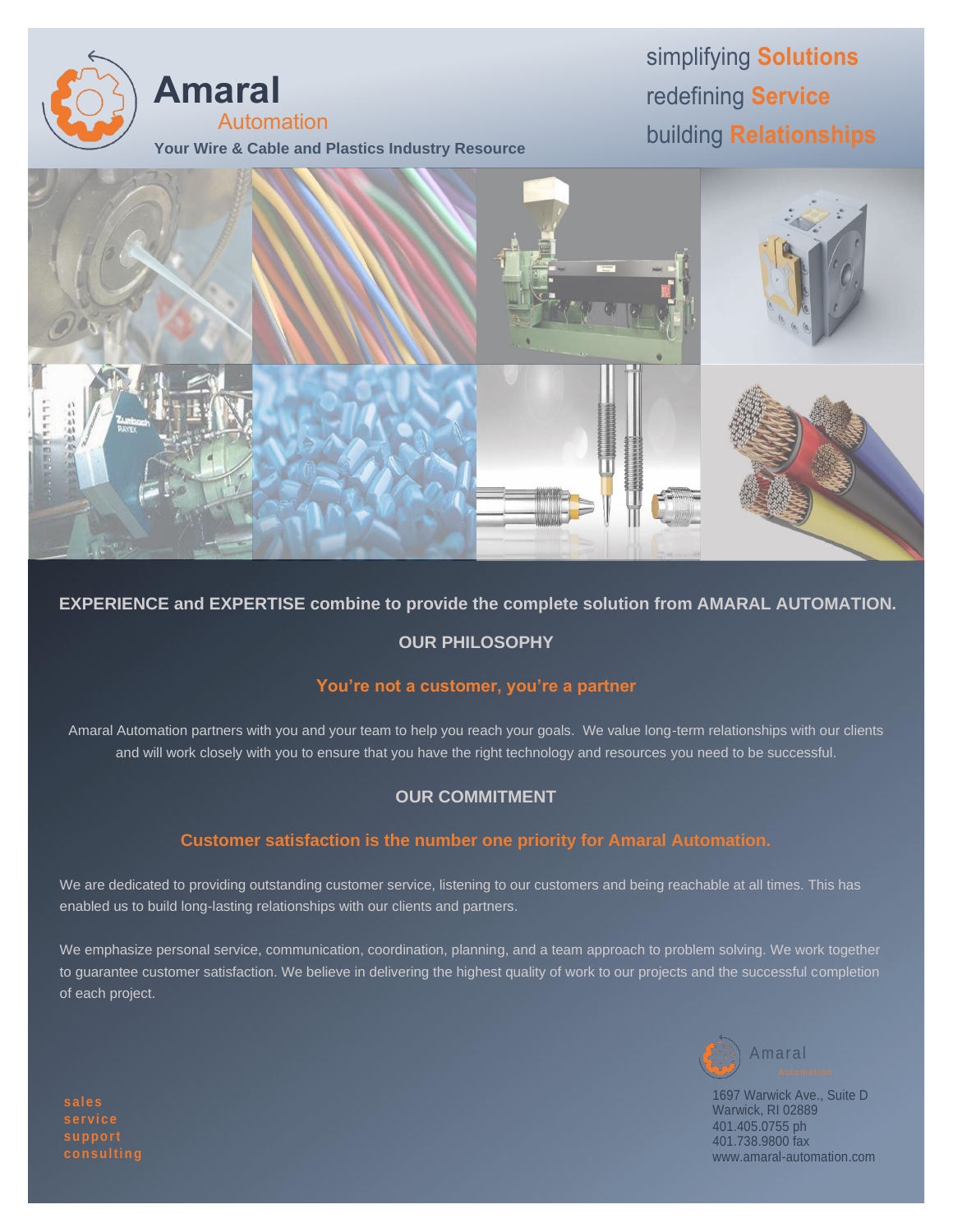

# simplifying **Solutions** redefining **Service** building **Relationships**



#### **EXPERIENCE and EXPERTISE combine to provide the complete solution from AMARAL AUTOMATION.**

#### **OUR PHILOSOPHY**

#### **You're not a customer, you're a partner**

Amaral Automation partners with you and your team to help you reach your goals. We value long-term relationships with our clients and will work closely with you to ensure that you have the right technology and resources you need to be successful.

#### **OUR COMMITMENT**

#### **Customer satisfaction is the number one priority for Amaral Automation.**

We are dedicated to providing outstanding customer service, listening to our customers and being reachable at all times. This has enabled us to build long-lasting relationships with our clients and partners.

We emphasize personal service, communication, coordination, planning, and a team approach to problem solving. We work together to guarantee customer satisfaction. We believe in delivering the highest quality of work to our projects and the successful completion of each project.



1697 Warwick Ave., Suite D Warwick, RI 02889 401.405.0755 ph 401.738.9800 fax www.amaral-automation.com

**servi ce support**